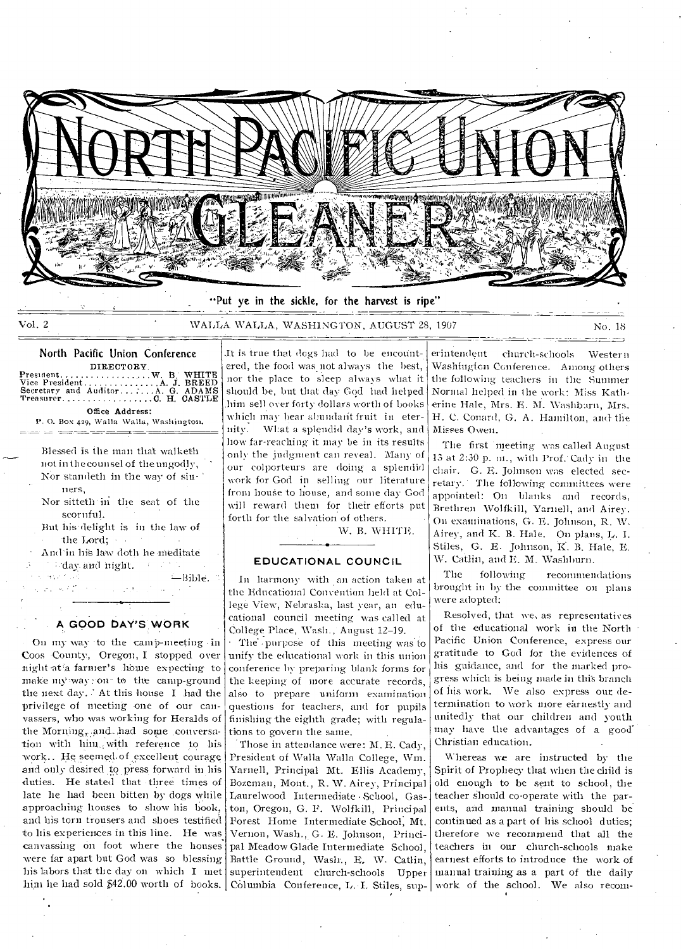

"Put ye in the sickle, for the harvest is ripe"

Vol. 2 WALLA WALLA, WASHINGTON, AUGUST 28, 1907 No. 18

## North Pacific Union Conference

DIRECTORY President W. W. B. WHITE Vice President A JBREED Secretary and Auditor AG. ADAMS Treasurer CH. CASTLE Office Address:

P. O. Box 429, Walla Walla, Washington. <u> District de Germania (Europa en Antonio Antonio Antonio Antonio Antonio Antonio Antonio Antonio Antonio Anton</u>

Blessed is the man that walketh not in the counsel of the ungodly, Nor standeth in the way of sinners,

Nor sitteth 'in the seat of the scornful.

But his•delight is in the law of

• the Lord; • ; • And- in hiS law (loth he Meditate and night.

 $\Lambda$ 

 $\zeta$  ,  $\sigma$  ,  $\zeta$  ,  $\zeta$  ,  $\zeta$ 

-Bible.

## **A GOOD DAY'S WORK**

On my way to the camp-meeting in Coos County, Oregon, I stopped over night at a farmer's home expecting to make my way : on to the camp-ground the next day... At this house I had the privilege of meeting one of our canvassers, who was working for Heralds of the Morning, and had some conversation with him with reference to his work.. He seemed-of excellent courage and only desired to press forward in his duties. He stated that three times of late he had been bitten by dogs while approaching houses to show his book, and his torn trousers and shoes testified to his experiences in this line. He was canvassing on foot where the houses. were far apart but God was so blessing his labors that the day on which I met him he had sold 542.00 worth of books.

.It is true that dogs had to be encountered, the food was not always the best, nor the place to sleep always what it should be, but that day God had helped .him sell over forty dollars worth of books which may hear abundant fruit in eternity. W1:at a splendid day's work, and how far-reaching it may be in its results only the judgment can reveal. Many of our colporteurs are doing a splendid work for God in selling our literature from house to house, and some day God will reward them for their efforts put forth for the salvation of others.

W. B. WHITE.

## **EDUCATIONAL COUNCIL**

In harmony with an action taken at the Educational Convention held at College View, Nebraska, last year, an educational council meeting was called at College Place, Wash., August 12-19.

The -purpose of this meeting was to unify the educational work in this union conference by preparing blank forms for the keeping of more accurate records, also to prepare uniform examination questions for teachers, and for pupils finishing the eighth grade; with regulations to govern the same.

Those in attendance were: M. E. Cady, President of Walla Walla College, Wm. Yarnell, Principal Mt. Ellis Academy, Bozeman, Mont., R. W. Airey, Principal Laurelwood Intermediate · School, Gaston, Oregon, G. F. Wolfkill, Principal Forest Home Intermediate School, Mt. Vernon, Wash., G. E. Johnson, Principal Meadow Glade Intermediate School, Battle Ground, Wash., E, \V. Catlin, superintendent church-schools Upper Columbia Conference, L. I. Stiles, sup-

erintendent church-schools Western Washington Conference. Among others the following teachers in the Summer Normal helped in the work: Miss Katherine Hale, Mrs. E. M. Washbarn, Mrs. H. C. Coward, G. A. Hamilton, and- the Misses Owen.

The first meeting was called August 13 at 2:30 p. m., with Prof.' Cady in the chair. G. E. Johnson was elected secretary.. The following committees were appointed: On blanks and records, Brethren Wolfkill, Yarnell, and Airey. On examinations, G. E. Johnson, R. W. Airey, and K. B. Hale. On plans, L. I. Stiles, G. E. Johnson, K. B. Hale, E. W. Catlin, and E. M. Washburn.

The following recommendations brought in by the committee on plans were adopted:

Resolved, that we, as representatives of the educational work in the North Pacific Union Conference, express our gratitude to God for the evidences of his guidance, and for the marked progress which is being made in this branch of his work. We also express our determination to work more earnestly and unitedly that our children and youth may have the advantages of a good' Christian education.

Whereas we are instructed by the Spirit of Prophecy that when the child is old enough to be sent to school, the teacher should co-operate with the parents, and manual training should be continued as a part of his school duties; therefore we recommend that all the teachers in our church-schools make earnest efforts to introduce the work of manual training as a part of the daily work of the school. We also recom-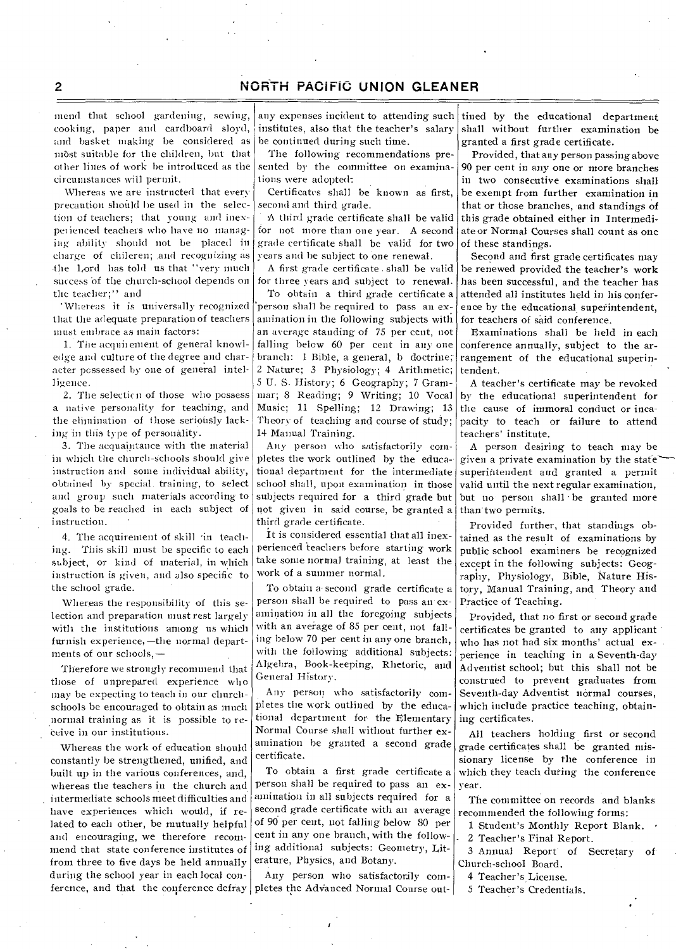mend that school gardening, sewing, cooking, paper and cardboard sloyd, and basket making be considered as most suitable for the children, but that other lines of work be introduced as the circumstances will permit.

Whereas we are instructed that every precaution should be used in the selection of teachers; that young and inexpei ienced teachers who have no managing ability should not be placed in charge of chileren; and recognizing as the Lord has told us that '`very much success 'of the church-school depends on the teacher;" and

•\Vliereas it is universally recognized that the adequate preparation of teachers must embrace as main factors:

1. The acquirement of general knowledge and culture of the degree and character possessed by one of general intelligence.

2. The selection of those who possess a native personality for teaching, and the elimination of those seriously lacking in this type of personality.

3. The acquaintance with the material in which the church-Schools should give instruction and some individual ability, obtained by special, training, to select and group such materials according-to goals to be reached in each subject of instruction.

4. The acquirement of skill in teaching. This skill must be specific to each subject, or kind of material, in which instruction is given, and also specific to the school grade.

Whereas the responsibility of this selection and preparation must rest largely with the institutions among us which furnish experience,—the normal departments of our schools,—

Therefore we strongly recommend that those of unprepared experience who may be expecting to teach in our churchschools be encouraged to obtain as much normal training as it is possible to receive in our institutions.

Whereas the work of education should constantly be strengthened, unified, and built up in the various conferences, and, whereas the teachers in the church and intermediate schools meet difficulties and have experiences which would, if related to each other, be mutually helpful and encouraging, we therefore recommend that state conference institutes of from three to five days be held annually during the school year in each local conference, and that the conference defray pletes the Advanced Normal Course out-

any expenses incident to attending such institutes, also that the teacher's salary be continued during such time.

The following recommendations presented by the committee on examinations were adopted:

Certificates shall be known as first, second and third grade.

A third grade certificate shall be valid for not more than one year. A second grade certificate shall be valid for two years and be subject to one renewal.

A first grade certificate . shall be valid for three years and subject to renewal.

To obtain a third grade certificate a 'person shall be required to pass an examination in the following subjects with an average standing of 75 per cent, not falling below 60 per cent in any one branch: 1 Bible, a general, b doctrine; 2 Nature; 3 Physiology; 4 Arithmetic; 5 U. S. History; 6 Geography; 7 Gram-Music; 11 Spelling; 12 Drawing; 13 Theory of teaching and course of study; 14 Manual Training.

Ally person who satisfactorily completes the work outlined by the educational department for the intermediate school shall, upon examination in those subjects required for a third grade but not given in said course, be granted a third grade certificate.

It is considered essential that all inexperienced teachers before starting work take some normal training, at least the work of a summer normal.

To obtain a second grade certificate a person shall be required to pass an exanimation in all the foregoing subjects with an average of 85 per cent, not falling below 70 per cent in any one branch, with the following-additional subjects: Algebra, Book-keeping, Rhetoric, and General History.

Any person who satisfactorily completes the work outlined by the educational department for the Elementary Normal Course shall without further examination be granted a second grade certificate.

To obtain a first grade certificate a person shall be required to pass an examination in all subjects required for a second grade certificate with an average of 90 per cent, not falling below 80 per cent in any one branch, with the following additional subjects: Geometry, Literature, Physics, and Botany.

Any person who satisfactorily com-

tined by the educational department shall without further examination be granted a first grade certificate.

Provided, that any person passing above 90 per cent in any one or more branches in two consecutive examinations shall be exempt from further examination in that or those branches, and standings of this grade obtained either in Intermediate or Normal Courses shall count as one of these standings.

Second and first grade certificates may be renewed provided the teacher's work has been successful, and the teacher has attended all institutes held in his conference by the educational superintendent, for teachers of said conference.

Examinations shall be held in each conference annually, subject to the arrangement of the educational superintendent.

mar; 8 Reading; 9 Writing; 10 Vocal by the educational superintendent for A teacher's certificate may be revoked the cause of immoral conduct or incapacity to teach or failure to attend teachers' institute.

> A person desiring to teach may be given a private examination by the state superintendent and granted a permit valid until the next regular examination, but no person shall be granted more than two permits.

> Provided further, that standings obtained as the result of examinations by public school examiners be recognized except in the following subjects: Geography, Physiology, Bible, Nature History, Manual Training, and Theory and Practice of Teaching.

> Provided, that no first or second grade certificates be granted to any applicant who has not had six months' actual experience in teaching in a Seventh-day Adventist school; but this shall not be construed to prevent graduates from Seventh-day Adventist normal courses, which include practice teaching, obtaining certificates.

> All teachers holding first or second grade certificates shall be granted missionary license by the conference in which they teach during the conference year.

> The committee on records and blanks recommended the following forms:

1 Student's Monthly Report Blank. •

2 Teacher's Final Report.

3 Annual Report of Secretary of Church-school Board.

4 Teacher's License.

5 Teacher's Credentials.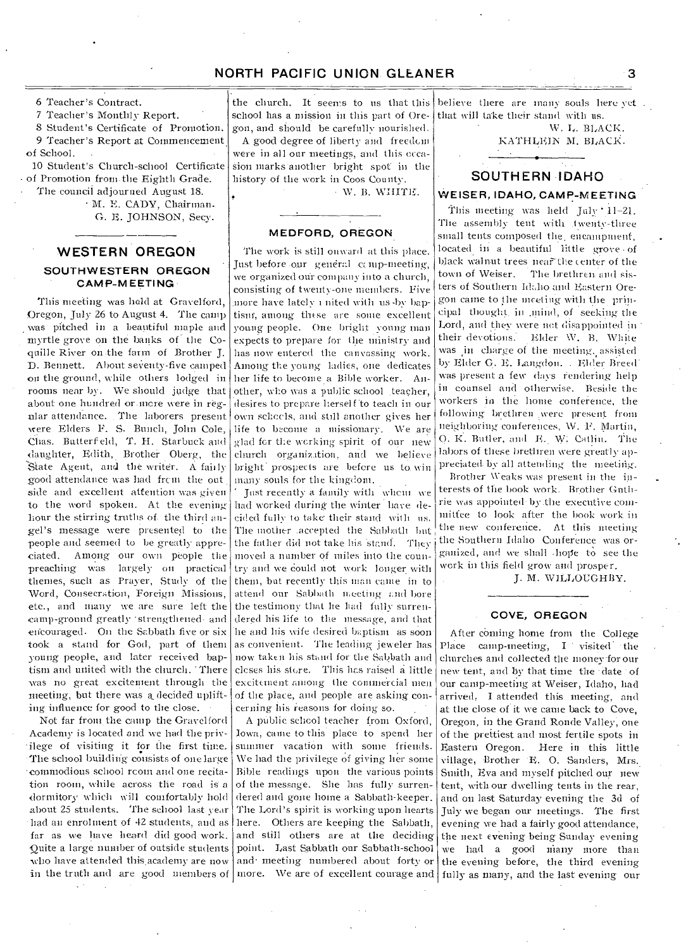6 Teacher's Contract.

7 Teacher's Monthly Report.

S Student's Certificate of Promotion. 9 Teacher's Report at Commencement. of School.

10 Student's Church-school Certificate of Promotion from. the Eighth Grade. The council adjourned August 18.

- M. E. CADY, Chairman. G. E. JOHNSON, Secy.

## **WESTERN OREGON SOUTHWESTERN OREGON CAMP-MEETING**

This meeting was held at Gravelford, Oregon, July 26 to August 4. The camp was pitched in a beautiful maple and myrtle grove on the banks of the Coquille River on the farm of Brother J. D. Bennett. About seventy-five camped on the ground, while others lodged in rooms near by. We should judge that about one hundred or more were in regular attendance. The laborers present were Elders P. S. Bunch, John Cole, Chas. Butterf ehl, T. H. Starbuck and daughter, Edith, Brother Oberg, the State Agent, and the writer. A fairly good attendance was had from the out side and excellent attention was given to the word spoken. At the evening hour the stirring truths of the third angel's message were presented to the people and seemed to be greatly appreciated. Among our own people the preaching was largely on practical themes, such as Prayer, Study of the Word, Consecration, Foreign Missions, etc., and many we are sure left the camp-ground greatly - strengthened- and encouraged. On the Sabbath five or six took a stand for God, part of them young people, and later received baptism and united with the church. 'There was no great excitement through the meeting, but there was a decided uplifting influence for good to the close.

Not far from the camp the Gravel ford Academy is located and we had the privilege of visiting it for the first time. •The school building consists of one large - commodious school room and one recitation room, while across the road is a dormitory which will comfortably hold about 25 students. The school last year - had an enrolment of 42 students, and as far as we have heard did good work. Quite a large number of outside students who have attended this academy are now in the truth and are good members of

the church. It seems to us that this school has a mission in this part of Oregon, and should be carefully nourished. A good degree of liberty and freedom were in all our meetings, and this occasion marks- another bright spot in the history of the work in Coos County.

• \V. B. WHITE.

#### **MEDFORD, OREGON**

The work is still onward at this place. Just before our general comp-meeting, we organized our company into a church, consisting of twenty-one members. Five more have lately i nited with us-by baptism., among these are some excellent young people. One bright young man expects to prepare for the ministry and has now entered the canvassing work. Among the young ladies, one dedicates her life to become a Bible worker. Another, who was a public school .teacher, desires to prepare herself to teach in our own schools, and still another gives her life to become a missionary. We are glad for the working spirit of our new church organization, and we believe bright prospects are before us to win many souls for the kingdom.

Just recently a family with whom we had worked during the winter have decided fully to take their stand with us. The mother .accepted the Sabbath but the father did not take his stand. They moved a number of miles into the country and we could not work longer with them, bat recently this man came in to attend our Sabbath meeting and bore the testimony that he had fully surrendered his life to the message, and that he and his wife desired baptism as soon as convenient. The leading jeweler has now taken his stand for the Sabbath and closes his store. This hes raised a little excitement among the commercial men of the place, and people are asking concerning his reasons for doing-so.

A public school teacher from Oxford, Iowa, came to this place to spend her summer vacation with some friends. We had the privilege of giving her some Bible readings upon the various points of the message. She has fully surrendered and gone home a Sabbath-keeper. The Lord's spirit is working upon hearts here. Others are keeping the Sabbath, and still others are at the deciding point. Last Sabbath our Sabbath-school and• meeting numbered about forty or more. We are of excellent courage and fully as many, and the last evening' our

believe there are many souls here yet . that will take their stand with us.

W. L. BLACK. KATHLEIN M. BLACK.

# **- SOUTHERN •IDAHO - WEISER, IDAHO, CAMP-MEETING**

This meeting was held July '41-21. The assembly tent with twenty-three small tents composed the, encampment, located in a beautiful little grove • of black walnut trees near the center of the town of Weiser. The brethren and sisters of Southern Idaho and Eastern Oregon came to the meeting with the principal thought in mind, of seeking the Lord, and they were not disappointed in their devotions. Elder W. B. White was in charge of the meeting, assisted by Elder G. E. Langdon. . Elder Breed was present a few days rendering help in counsel and otherwise. Beside the workers in the home conference, the following brethren were present from neighboring conferences, \V. F. Martin, O. R. Butler, and E. W. Catlin. The labors of these brethren were greatly appreciated by all attending the meeting.

Brother Weaks was present in the interests of the hook work. Brother Guthrie was appointed -by the executive committee to look after the book work in the new conference. At this meeting the Southern Idaho Conference was organized, and we shall hope to see the work in this field grow and prosper.

J. M. WILLOUGHBY.

#### **- COVE, OREGON**

After coming home from the College Place camp-meeting, I visited •the churches and collected the money.for our new tent, and by that time the date of our camp-meeting at Weiser, Idaho, had arrived. I attended this meeting, and at the close of it we came back to Cove, Oregon, in the Grand Ronde Valley, one of the prettiest and most fertile spots in Eastern Oregon. Here in this little village, Brother E. 0. Sanders, Mrs. Smith, Eva and myself pitched our new tent, with our dwelling tents in the rear, and on last Saturday evening the 3d of July we began our meetings. The first evening we had a fairly good attendance, the next evening being Sunday evening we had a good many more than the evening before, the third evening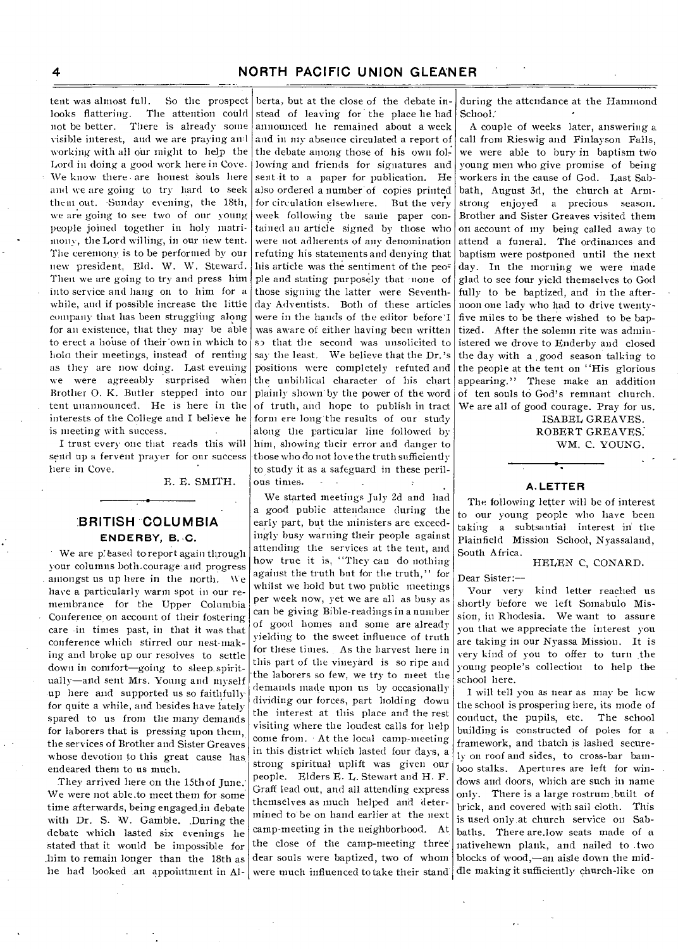tent was almost full. So the prospect looks flattering. The attention could not be better. There is already some visible interest, and we are praying awl working with all our might to help the Lord in doing a good work here in Cove. We know there are honest souls here and we are going to try hard to seek them out. .Sunday evening, the 18th, we are going to see two of our young people joined together in holy matrimony, the Lord willing, in our new tent. The ceremony is to be performed by our new president, Eld. W. W. Steward. Then we are going to try and press him into service and hang on to him for a while, and if possible increase the little company that has been struggling along for an existence, that they may be able to erect a house of their own in which to bola their meetings, instead of renting as they are now doing. Last evening we were agreeably surprised when Brother 0. K. Butler stepped into our tent unannounced. He is here in the interests of the College and I believe he is meeting with success.

I trust every one that reads this will send up a fervent prayer for our success here in Cove.

E. E. SMITH.

## **:BRITISH COLUMBIA ENDERBY, B.** C.

We are pleased to report again through your columns both-courage-and. progress amongst us up here in the north. We have a particularly warm spot in our remembrance for the Upper Columbia Conference on account of their fostering care -in times past, in that it was that conference which stirred our nest-making and broke up our resolves to settle down in comfort—going to sleep. spiritually—and sent Mrs. Young and myself up here and supported us so faithfully for quite a while, and besides have lately spared to us from the many demands for laborers that is pressing upon them, the services of Brother and Sister Greaves whose devotion to this great cause has endeared them to us much.

They arrived here on the 15th of June.' We were not able.to meet them for some time afterwards, being engaged in debate with Dr. S. W. Gamble. During the debate which lasted six evenings he Stated that it would be impossible for .him to remain longer than the 18th as he had booked an appointment in Al-

berta, but at the close of the debate instead of leaving for the place he had announced he remained about a week and in my absence circulated a report of the debate among those of his own following-and friends for signatures and sent-it to a paper for publication. He also ordered a number of copies printed for circulation elsewhere. But the very week following the sanie paper contained an article signed by those who were not adherents of any denomination refuting his statements and denying that his article was the sentiment of the people and stating purposely that none of those signing the latter were Seventhday Adventists. Both of these articles were in the hands of the editor before I was aware of either having been written sp that the second was unsolicited to say the least. We believe that the Dr.'s positions were completely refuted and the unbiblical character of his chart plainly shown by the power of the word of truth, and hope to publish in tract form ere long-the results of our study along the particular line followed by him, showing their error and danger to those who do not love the truth sufficiently to study it as a safeguard in these perilous times.

We started meetings July 2d and had a good public attendance during the early part, but the ministers are exceedingly busy warning their people against attending the services at the tent, and how true it is, "They can do nothing against the truth but for the truth," for whilst we hold but two public meetings per week now, yet we are all as busy as can be giving Bible-readings in a number of good homes and some are already yielding to the sweet influence of truth for these times. As the harvest here in this part of the vineyard is so ripe and the laborers so few, we try to meet the demands made upon us by occasionally dividing our forces, part holding down the interest at this place and the rest visiting where the loudest calls for help come from. At the local camp-meeting in this district which lasted four days, a strong spiritual uplift was given our people. Elders E. L. Stewart and H. F. Graff lead out, and all attending express themselves as much helped and determined to' be on hand earlier at the next camp-meeting in the neighborhood. At. the close of the camp-meeting three' dear souls were baptized, two of whom were much influenced to take their stand.

during the attendance at the Hammond School.

A couple of weeks later, answering a call from Rieswig and Finlayson Falls, we were able to bury in baptism two young men who give promise of being workers in the cause of God. Last Sabbath, August 3d, the church at Armstrong enjoyed a precious season. Brother and Sister Greaves visited them on account of my being called away to attend a funeral. The ordinances and baptism were postponed until the next day. In the morning we were made glad to see four yield themselves to God fully to be baptized, and in the afternoon one lady who had to drive twentyfive miles to be there wished to be baptized. After the solemn rite was administered we drove to Enderby and closed the day with a good season talking to the people at the tent on "His glorious appearing." These make an addition of ten souls to God's remnant church. We are all of good courage. Pray for us.

> ISABEL GREAVES. ROBERT GREAVES: WM. C. YOUNG.

### **A. LETTER**

The following letter will be of interest to our young people who have been taking a subtsantial interest in the Plainfield Mission School, Nyassaland, South Africa.

#### HELEN C, CONARD.

Dear Sister:--

Your very kind letter reached us shortly before we left Somabulo Mission, in Rhodesia. We want to assure you that we appreciate the interest you are taking in our Nyassa Mission. It is very kind of you to offer to turn .the young people's collection to help the school here.

I will tell you as near as may be hew the school is prospering here, its mode of conduct, the pupils, etc. The school building is constructed of poles for a framework, and thatch is lashed securely on roof and sides, to cross-bar bamboo stalks. Apertures are left for windows and doors, which are such in name only. There is a large rostrum built of brick, and covered with sail cloth. This is used only. at church service on Sabbaths. There are.low seats made of a nativehewn plank, and nailed to two blocks of wood,—an aisle down the middle making it sufficiently church-like on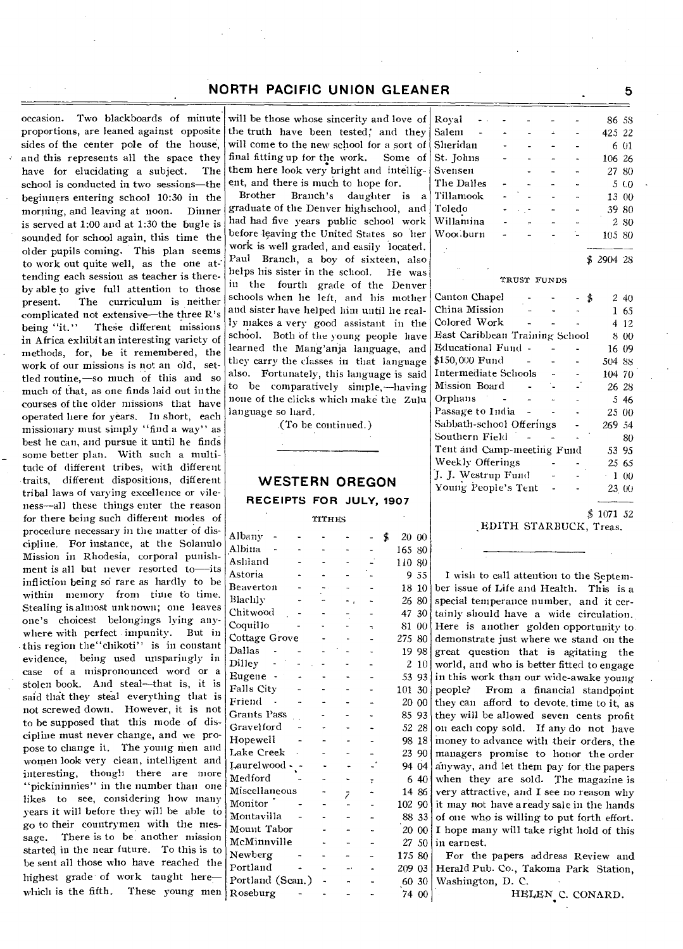occasion. Two blackboards of minute proportions, are leaned against opposite sides of the center pole of the house, and this represents all the space they have for elucidating a subject. The school is conducted in two sessions—the beginners entering school 10:30 in the morning, and leaving at noon. Dinner is served at 1:00 and at 1:30 the bugle is sounded for school again, this time the older pupils coming. This plan seems to work out quite well, as the one attending each session as teacher is thereby able to give full attention to those present. The curriculum is neither complicated not extensive—the three R's<br>being "it." These different missions These different missions in Africa exhibit an interesting variety of methods, for, be it remembered, the work of our missions is not an old, settled routine,—so much of this and so much of that, as one finds laid out in the courses of the older missions that have operated here for years. In short, each missionary must simply "find a way" as best he can, and pursue it until he finds some better plan. With such a multitude of different tribes, with different traits, different dispositions, different tribal laws of varying excellence or vileness—all these things enter the reason for there being such different modes of procedure necessary in the matter of discipline. For instance, at the Solanulo Mission in Rhodesia, corporal punishment is all but never resorted to—its infliction being so rare as hardly to be within memory from time to time. Stealing is almost unknown; one leaves one's choicest belongings lying anywhere with perfect impunity. But in this region the"chikoti" is in constant evidence, being used unsparingly in case of a mispronounced word or a stolen book. And steal—that is, it is said that they steal everything that is not screwed down. However, it is not to be supposed that this mode of discipline must never change, and we propose to change it. The young men and women look very clean, intelligent and interesting, though there are more "pickininnies" in the number than one likes to see, considering how many years it will before they will be able to go to their countrymen with the message. There is to be another mission There is to be another mission started in the near future. To this is to be sent all those who have reached the highest grade of work taught here which is the fifth. These young men Roseburg - 74 00

will be those whose sincerity and love of the truth have been tested; and they will come to the new school for a sort of final fitting up for the work. Some of them here look very bright and intelligent, and there is much to hope for.

Brother Branch's daughter is a graduate of the Denver highschool, and had had five years public school work before leaving the United States so her work is well graded, and easily located. Paul Branch, a boy of sixteen, also helps his sister in the school. He was in the fourth grade of the Denver schools when he left, and his mother and sister have helped him until he really makes a very good assistant in the school. Both of the young people have learned the Mang'anja language, and they carry the classes in that language also. Fortunately, this language is said to be comparatively simple,—having none of the clicks which make the Zulu language so hard.

.(To be continued.)

## **WESTERN OREGON RECEIPTS FOR JULY, 1907**

#### TITHES

| Albany           |   |   | \$<br>20       | 00    |
|------------------|---|---|----------------|-------|
| Albina           |   |   | 165            | 80    |
| Ashland          |   |   | 110            | 80    |
| Astoria          |   |   | 9              | 55    |
| Beaverton        |   |   | 18             | 10    |
| Blachly          |   |   | 26             | 80    |
| Chitwood         |   |   | 47             | 30    |
| Coquillo         |   |   | 81             | 00    |
| Cottage Grove    |   |   | 275            | 80    |
| Dallas           |   |   | 19             | 98    |
| Dilley           |   |   | $\overline{2}$ | 10    |
| Eugene           |   |   | 53             | 93    |
| Falls City       |   |   | 101            | 30    |
| Friend           |   |   | 20             | 00    |
| Grants Pass      |   |   | 85             | 93    |
| Gravelford       |   |   | 52             | -28   |
| Hopewell         |   |   | 98             | 18    |
| Lake Creek       |   |   | 23             | 90    |
| Laurelwood .     |   |   |                | 94 04 |
| Medford          |   | ÷ | 6              | 40    |
| Miscellaneous    | 7 |   |                | 14 86 |
| Monitor          |   |   | 102 90         |       |
| Montavilla       |   |   |                | 88 33 |
| Mount Tabor      |   |   | 20             | 00    |
| McMinnville      |   |   | 27             | 50    |
| Newberg          |   |   | 175 80         |       |
| Portland         |   |   | 209            | 03    |
| Portland (Scan.) |   |   | 60             | 30    |
|                  |   |   |                |       |

| Royal                          |             |  | 86 58    |           |
|--------------------------------|-------------|--|----------|-----------|
| Salem                          |             |  | 425 22   |           |
| Sheridan                       |             |  |          | 6 01      |
| St. Johns                      |             |  | 106 26   |           |
| Svensen                        |             |  | 27 80    |           |
| The Dalles                     |             |  |          | 5 CO      |
| Tillamook                      |             |  | 13       | 00        |
| Toledo                         |             |  | 39 80    |           |
| Willamina                      |             |  |          | 2 80      |
| Woodburn                       |             |  | 105 80   |           |
|                                |             |  |          |           |
|                                |             |  | \$290428 |           |
|                                | TRUST FUNDS |  |          |           |
| Canton Chapel                  |             |  | \$       | 2 40      |
| China Mission                  |             |  | 1        | 65        |
| Colored Work                   |             |  |          | 4 12      |
| East Caribbean Training School |             |  |          | 8 00      |
| Educational Fund -             |             |  | 16 09    |           |
| \$150,000 Fund                 |             |  | 504 88   |           |
| Intermediate Schools           |             |  | 104 70   |           |
| Mission Board                  |             |  | 26 28    |           |
| Orphans                        |             |  |          | 5 4 6     |
| Passage to India               |             |  | 25 00    |           |
| Sabbath-school Offerings       |             |  | 269 54   |           |
| Southern Field                 |             |  |          | 80        |
| Tent and Camp-meeting Fund     |             |  | 53 95    |           |
| Weekly Offerings               |             |  | 25 65    |           |
| J. J. Westrup Fund             |             |  |          | $1\ \ 00$ |
| Young People's Tent            |             |  | 23.00    |           |

\$ 1071 52

**EDITH STARBUCK, Treas.** 

I wish to call attention to the September issue of Life and Health. This is a special temperance number, and it certainly should have a wide circulation. Here is another golden opportunity to. demonstrate just where we stand on the great question that is agitating the world, and who is better fitted to engage in this work than our wide-awake young people? From a financial standpoint they can afford to devote time to it, as they will be allowed seven cents profit on each copy sold. If any do not have money to advance with their orders, the managers promise to honor the order anyway, and let them pay for.the papers when they are sold. The magazine is very attractive, and I see no reason why it may not have a ready sale in the hands of one who is willing to put forth effort. I hope many will take right hold of this in earnest. For the papers address Review and

Herald Pub. Co., Takoma Park Station, Washington, D. C.

HELEN C. CONARD.